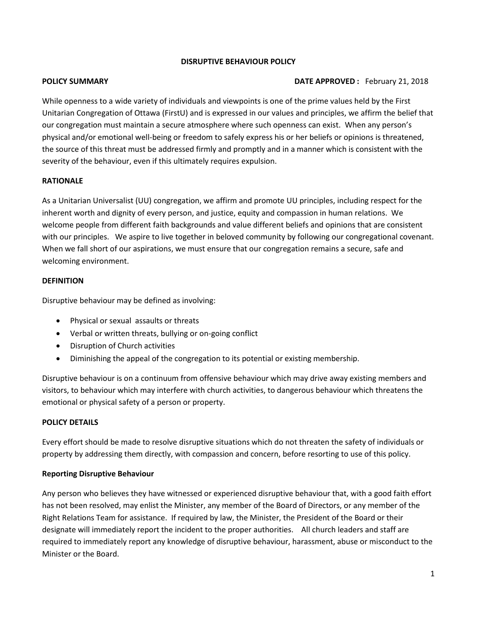## **DISRUPTIVE BEHAVIOUR POLICY**

### **POLICY SUMMARY DATE APPROVED :** February 21, 2018

While openness to a wide variety of individuals and viewpoints is one of the prime values held by the First Unitarian Congregation of Ottawa (FirstU) and is expressed in our values and principles, we affirm the belief that our congregation must maintain a secure atmosphere where such openness can exist. When any person's physical and/or emotional well-being or freedom to safely express his or her beliefs or opinions is threatened, the source of this threat must be addressed firmly and promptly and in a manner which is consistent with the severity of the behaviour, even if this ultimately requires expulsion.

## **RATIONALE**

As a Unitarian Universalist (UU) congregation, we affirm and promote UU principles, including respect for the inherent worth and dignity of every person, and justice, equity and compassion in human relations. We welcome people from different faith backgrounds and value different beliefs and opinions that are consistent with our principles. We aspire to live together in beloved community by following our congregational covenant. When we fall short of our aspirations, we must ensure that our congregation remains a secure, safe and welcoming environment.

#### **DEFINITION**

Disruptive behaviour may be defined as involving:

- Physical or sexual assaults or threats
- Verbal or written threats, bullying or on-going conflict
- Disruption of Church activities
- Diminishing the appeal of the congregation to its potential or existing membership.

Disruptive behaviour is on a continuum from offensive behaviour which may drive away existing members and visitors, to behaviour which may interfere with church activities, to dangerous behaviour which threatens the emotional or physical safety of a person or property.

## **POLICY DETAILS**

Every effort should be made to resolve disruptive situations which do not threaten the safety of individuals or property by addressing them directly, with compassion and concern, before resorting to use of this policy.

## **Reporting Disruptive Behaviour**

Any person who believes they have witnessed or experienced disruptive behaviour that, with a good faith effort has not been resolved, may enlist the Minister, any member of the Board of Directors, or any member of the Right Relations Team for assistance. If required by law, the Minister, the President of the Board or their designate will immediately report the incident to the proper authorities. All church leaders and staff are required to immediately report any knowledge of disruptive behaviour, harassment, abuse or misconduct to the Minister or the Board.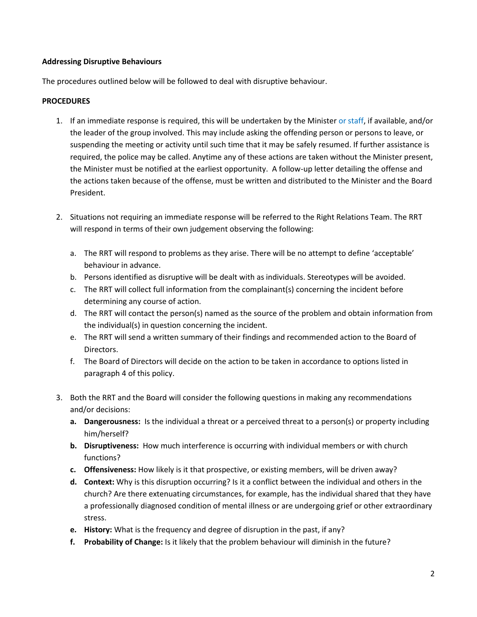## **Addressing Disruptive Behaviours**

The procedures outlined below will be followed to deal with disruptive behaviour.

## **PROCEDURES**

- 1. If an immediate response is required, this will be undertaken by the Minister or staff, if available, and/or the leader of the group involved. This may include asking the offending person or persons to leave, or suspending the meeting or activity until such time that it may be safely resumed. If further assistance is required, the police may be called. Anytime any of these actions are taken without the Minister present, the Minister must be notified at the earliest opportunity. A follow-up letter detailing the offense and the actions taken because of the offense, must be written and distributed to the Minister and the Board President.
- 2. Situations not requiring an immediate response will be referred to the Right Relations Team. The RRT will respond in terms of their own judgement observing the following:
	- a. The RRT will respond to problems as they arise. There will be no attempt to define 'acceptable' behaviour in advance.
	- b. Persons identified as disruptive will be dealt with as individuals. Stereotypes will be avoided.
	- c. The RRT will collect full information from the complainant(s) concerning the incident before determining any course of action.
	- d. The RRT will contact the person(s) named as the source of the problem and obtain information from the individual(s) in question concerning the incident.
	- e. The RRT will send a written summary of their findings and recommended action to the Board of Directors.
	- f. The Board of Directors will decide on the action to be taken in accordance to options listed in paragraph 4 of this policy.
- 3. Both the RRT and the Board will consider the following questions in making any recommendations and/or decisions:
	- **a. Dangerousness:** Is the individual a threat or a perceived threat to a person(s) or property including him/herself?
	- **b. Disruptiveness:** How much interference is occurring with individual members or with church functions?
	- **c. Offensiveness:** How likely is it that prospective, or existing members, will be driven away?
	- **d. Context:** Why is this disruption occurring? Is it a conflict between the individual and others in the church? Are there extenuating circumstances, for example, has the individual shared that they have a professionally diagnosed condition of mental illness or are undergoing grief or other extraordinary stress.
	- **e. History:** What is the frequency and degree of disruption in the past, if any?
	- **f. Probability of Change:** Is it likely that the problem behaviour will diminish in the future?